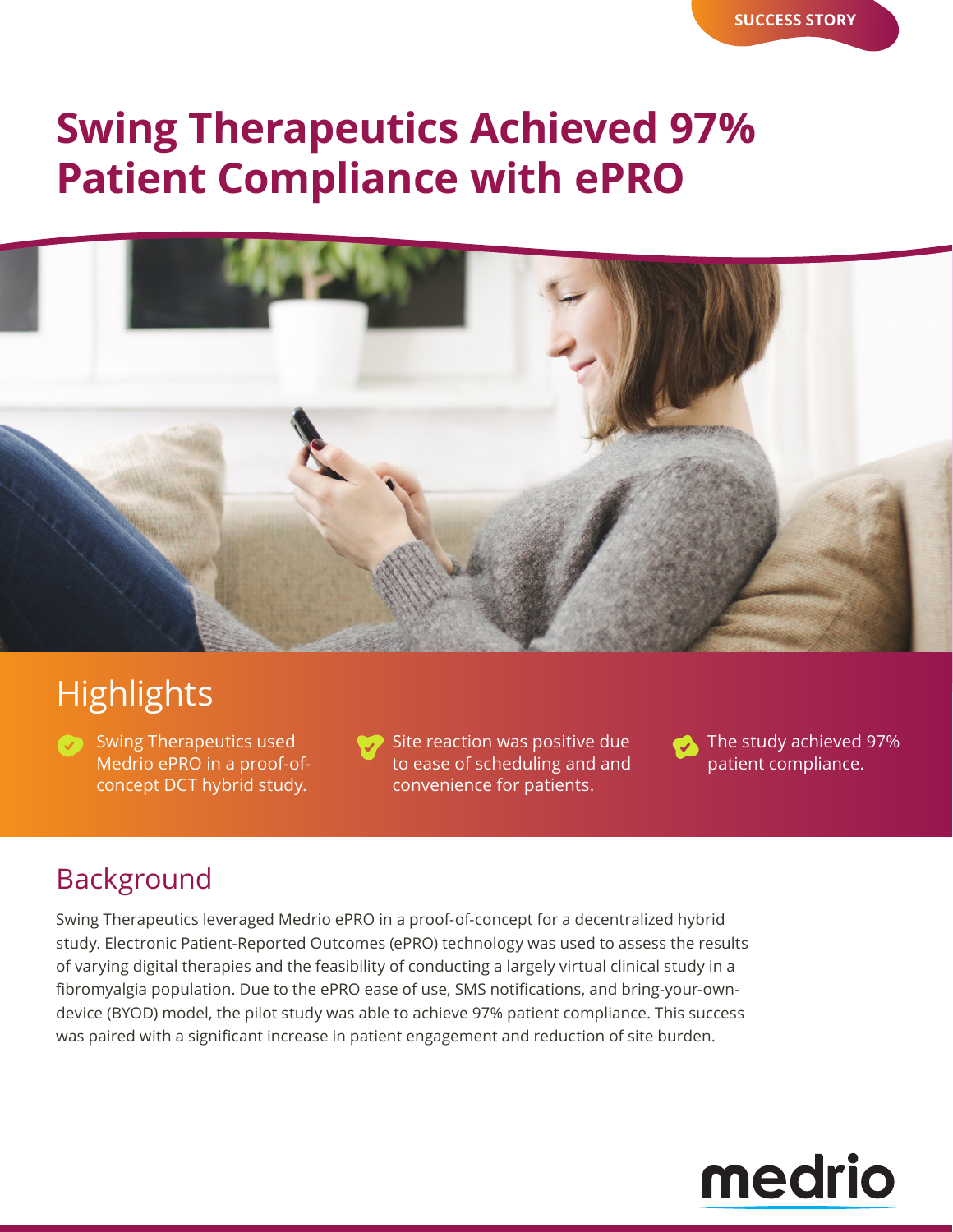# **Swing Therapeutics Achieved 97% Patient Compliance with ePRO**



# **Highlights**

**Swing Therapeutics used** Medrio ePRO in a proof-ofconcept DCT hybrid study.

Site reaction was positive due to ease of scheduling and and convenience for patients.

The study achieved 97% 50 patient compliance.

## Background

Swing Therapeutics leveraged Medrio ePRO in a proof-of-concept for a decentralized hybrid study. Electronic Patient-Reported Outcomes (ePRO) technology was used to assess the results of varying digital therapies and the feasibility of conducting a largely virtual clinical study in a fibromyalgia population. Due to the ePRO ease of use, SMS notifications, and bring-your-owndevice (BYOD) model, the pilot study was able to achieve 97% patient compliance. This success was paired with a significant increase in patient engagement and reduction of site burden.

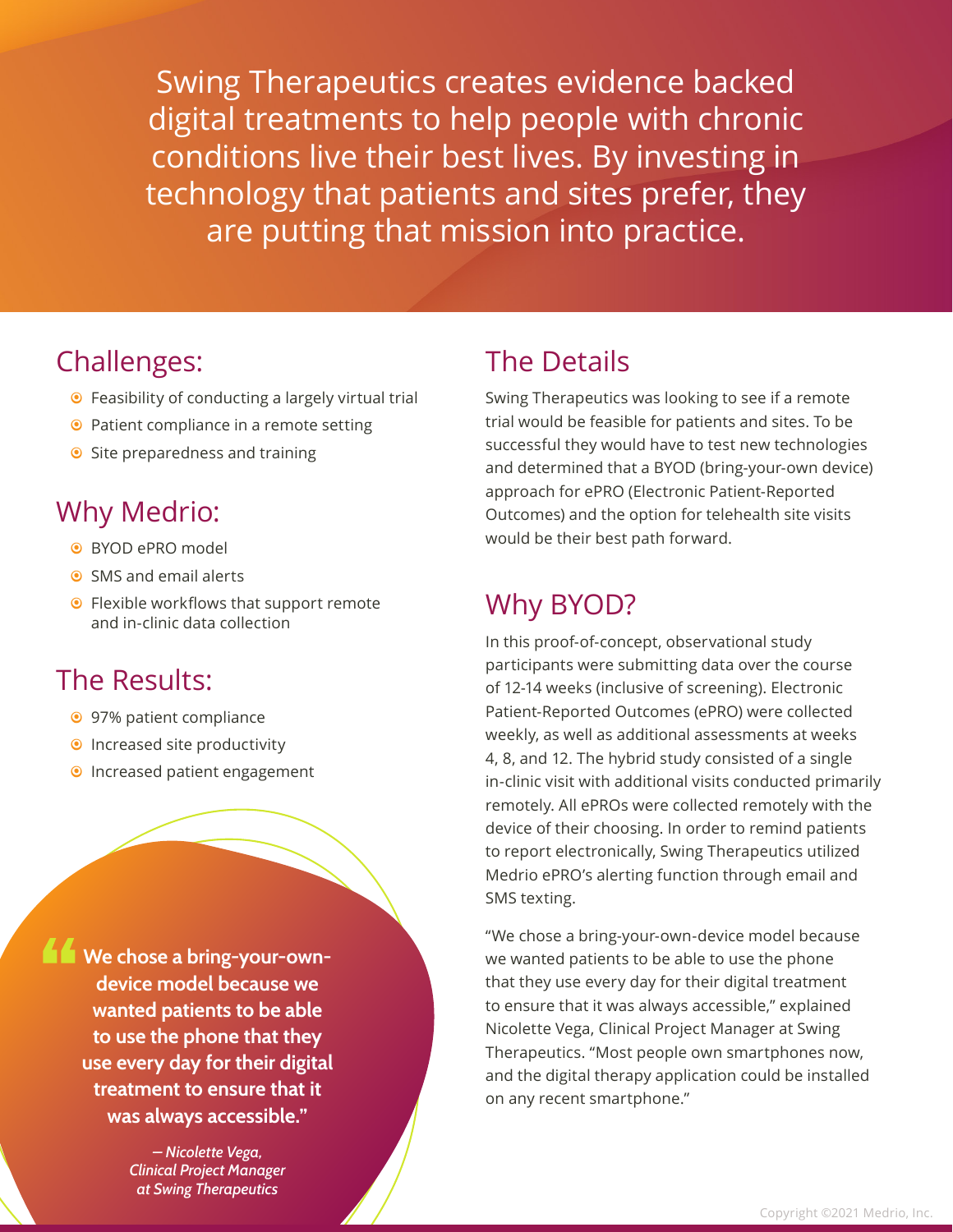Swing Therapeutics creates evidence backed digital treatments to help people with chronic conditions live their best lives. By investing in technology that patients and sites prefer, they are putting that mission into practice.

- $\bullet$  Feasibility of conducting a largely virtual trial
- <sup>O</sup> Patient compliance in a remote setting
- Site preparedness and training

### Why Medrio:

- BYOD ePRO model
- $\odot$  SMS and email alerts
- **•** Flexible workflows that support remote and in-clinic data collection

#### The Results:

- <sup>O</sup> 97% patient compliance
- **•** Increased site productivity
- **•** Increased patient engagement

**We chose a bring-your-owndevice model because we wanted patients to be able to use the phone that they use every day for their digital treatment to ensure that it was always accessible."**

> *– Nicolette Vega, Clinical Project Manager at Swing Therapeutics*

### Challenges: The Details

Swing Therapeutics was looking to see if a remote trial would be feasible for patients and sites. To be successful they would have to test new technologies and determined that a BYOD (bring-your-own device) approach for ePRO (Electronic Patient-Reported Outcomes) and the option for telehealth site visits would be their best path forward.

## Why BYOD?

In this proof-of-concept, observational study participants were submitting data over the course of 12-14 weeks (inclusive of screening). Electronic Patient-Reported Outcomes (ePRO) were collected weekly, as well as additional assessments at weeks 4, 8, and 12. The hybrid study consisted of a single in-clinic visit with additional visits conducted primarily remotely. All ePROs were collected remotely with the device of their choosing. In order to remind patients to report electronically, Swing Therapeutics utilized Medrio ePRO's alerting function through email and SMS texting.

"We chose a bring-your-own-device model because we wanted patients to be able to use the phone that they use every day for their digital treatment to ensure that it was always accessible," explained Nicolette Vega, Clinical Project Manager at Swing Therapeutics. "Most people own smartphones now, and the digital therapy application could be installed on any recent smartphone."